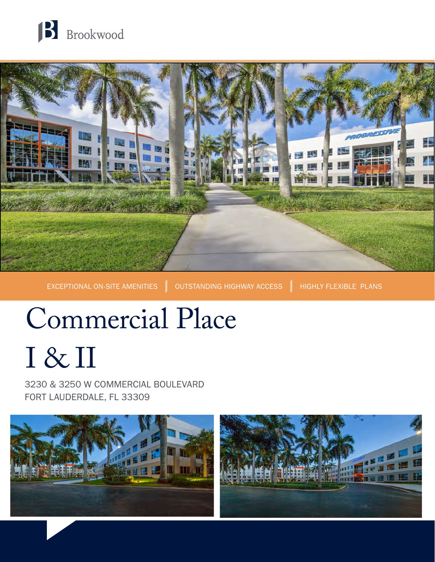



EXCEPTIONAL ON-SITE AMENITIES OUTSTANDING HIGHWAY ACCESS HIGHLY FLEXIBLE PLANS

# Commercial Place I & II

3230 & 3250 W COMMERCIAL BOULEVARD FORT LAUDERDALE, FL 33309

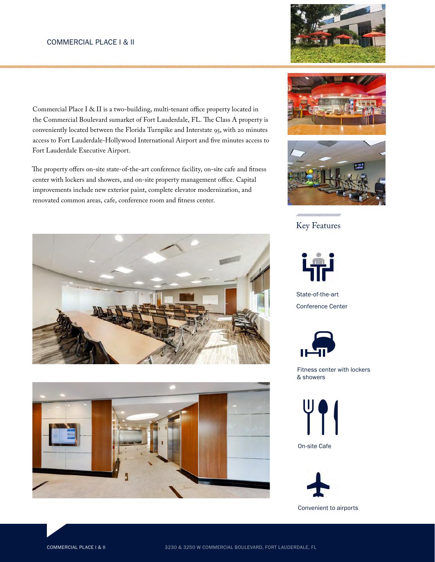Commercial Place I & II is a two-building, multi-tenant office property located in the Commercial Boulevard sumarket of Fort Lauderdale, FL. The Class A property is conveniently located between the Florida Turnpike and Interstate 95, with 20 minutes access to Fort Lauderdale-Hollywood International Airport and five minutes access to Fort Lauderdale Executive Airport.

The property offers on-site state-of-the-art conference facility, on-site cafe and fitness center with lockers and showers, and on-site property management office. Capital improvements include new exterior paint, complete elevator modernization, and renovated common areas, cafe, conference room and fitness center.















State-of-the-art Conference Center



Fitness center with lockers & showers



On-site Cafe

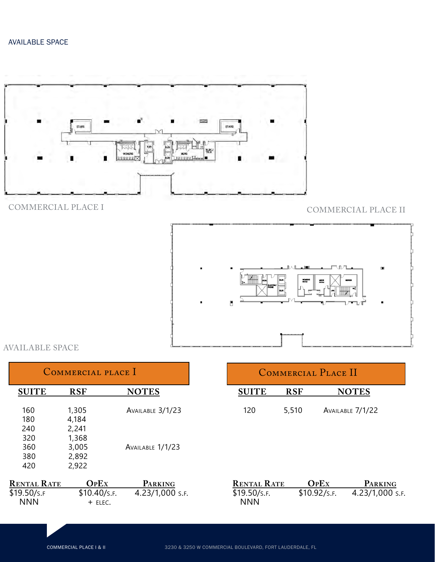

COMMERCIAL PLACE I COMMERCIAL PLACE II



# AVAILABLE SPACE

| COMMERCIAL PLACE I |              |                  |  |  |
|--------------------|--------------|------------------|--|--|
| <b>SUITE</b>       | <b>RSF</b>   | <b>NOTES</b>     |  |  |
| 160                | 1,305        | AVAILABLE 3/1/23 |  |  |
| 180                | 4,184        |                  |  |  |
| 240                | 2,241        |                  |  |  |
| 320                | 1,368        |                  |  |  |
| 360                | 3,005        | AVAILABLE 1/1/23 |  |  |
| 380                | 2,892        |                  |  |  |
| 420                | 2,922        |                  |  |  |
|                    |              |                  |  |  |
| <b>RENTAL RATE</b> | <b>OPEX</b>  | PARKING          |  |  |
| \$19.50/s.f        | \$10.40/s.f. | 4.23/1,000 S.F.  |  |  |
| <b>NNN</b>         | + ELEC.      |                  |  |  |
|                    |              |                  |  |  |

| COMMERCIAL PLACE II |            |                  |  |  |
|---------------------|------------|------------------|--|--|
| <b>SUITE</b>        | <b>RSF</b> | <b>NOTES</b>     |  |  |
| 120                 | 5,510      | AVAILABLE 7/1/22 |  |  |
|                     |            |                  |  |  |
|                     |            |                  |  |  |
|                     |            |                  |  |  |

| <b>RENTAL RATE</b> | OPEX         | <b>PARKING</b>  |
|--------------------|--------------|-----------------|
| \$19.50/s.f.       | \$10.92/s.f. | 4.23/1,000 S.F. |
| <b>NNN</b>         |              |                 |